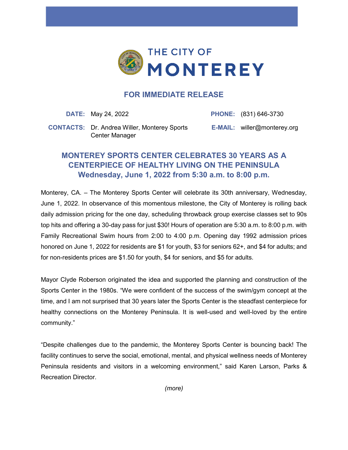

## **FOR IMMEDIATE RELEASE**

**DATE:** May 24, 2022 **PHONE:** (831) 646-3730

**CONTACTS:** Dr. Andrea Willer, Monterey Sports Center Manager

**E-MAIL:** willer@monterey.org

## **MONTEREY SPORTS CENTER CELEBRATES 30 YEARS AS A CENTERPIECE OF HEALTHY LIVING ON THE PENINSULA Wednesday, June 1, 2022 from 5:30 a.m. to 8:00 p.m.**

Monterey, CA. – The Monterey Sports Center will celebrate its 30th anniversary, Wednesday, June 1, 2022. In observance of this momentous milestone, the City of Monterey is rolling back daily admission pricing for the one day, scheduling throwback group exercise classes set to 90s top hits and offering a 30-day pass for just \$30! Hours of operation are 5:30 a.m. to 8:00 p.m. with Family Recreational Swim hours from 2:00 to 4:00 p.m. Opening day 1992 admission prices honored on June 1, 2022 for residents are \$1 for youth, \$3 for seniors 62+, and \$4 for adults; and for non-residents prices are \$1.50 for youth, \$4 for seniors, and \$5 for adults.

Mayor Clyde Roberson originated the idea and supported the planning and construction of the Sports Center in the 1980s. "We were confident of the success of the swim/gym concept at the time, and I am not surprised that 30 years later the Sports Center is the steadfast centerpiece for healthy connections on the Monterey Peninsula. It is well-used and well-loved by the entire community."

"Despite challenges due to the pandemic, the Monterey Sports Center is bouncing back! The facility continues to serve the social, emotional, mental, and physical wellness needs of Monterey Peninsula residents and visitors in a welcoming environment," said Karen Larson, Parks & Recreation Director.

*(more)*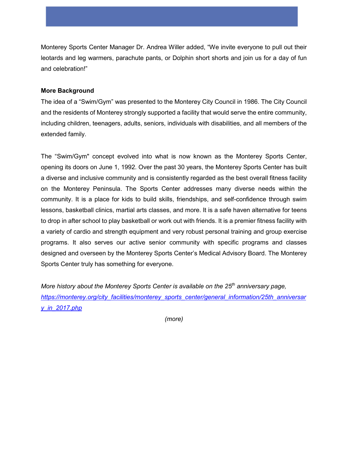Monterey Sports Center Manager Dr. Andrea Willer added, "We invite everyone to pull out their leotards and leg warmers, parachute pants, or Dolphin short shorts and join us for a day of fun and celebration!"

## **More Background**

The idea of a "Swim/Gym" was presented to the Monterey City Council in 1986. The City Council and the residents of Monterey strongly supported a facility that would serve the entire community, including children, teenagers, adults, seniors, individuals with disabilities, and all members of the extended family.

The "Swim/Gym" concept evolved into what is now known as the Monterey Sports Center, opening its doors on June 1, 1992. Over the past 30 years, the Monterey Sports Center has built a diverse and inclusive community and is consistently regarded as the best overall fitness facility on the Monterey Peninsula. The Sports Center addresses many diverse needs within the community. It is a place for kids to build skills, friendships, and self-confidence through swim lessons, basketball clinics, martial arts classes, and more. It is a safe haven alternative for teens to drop in after school to play basketball or work out with friends. It is a premier fitness facility with a variety of cardio and strength equipment and very robust personal training and group exercise programs. It also serves our active senior community with specific programs and classes designed and overseen by the Monterey Sports Center's Medical Advisory Board. The Monterey Sports Center truly has something for everyone.

*More history about the Monterey Sports Center is available on the 25th anniversary page, [https://monterey.org/city\\_facilities/monterey\\_sports\\_center/general\\_information/25th\\_anniversar](https://monterey.org/city_facilities/monterey_sports_center/general_information/25th_anniversary_in_2017.php) [y\\_in\\_2017.php](https://monterey.org/city_facilities/monterey_sports_center/general_information/25th_anniversary_in_2017.php)* 

*(more)*